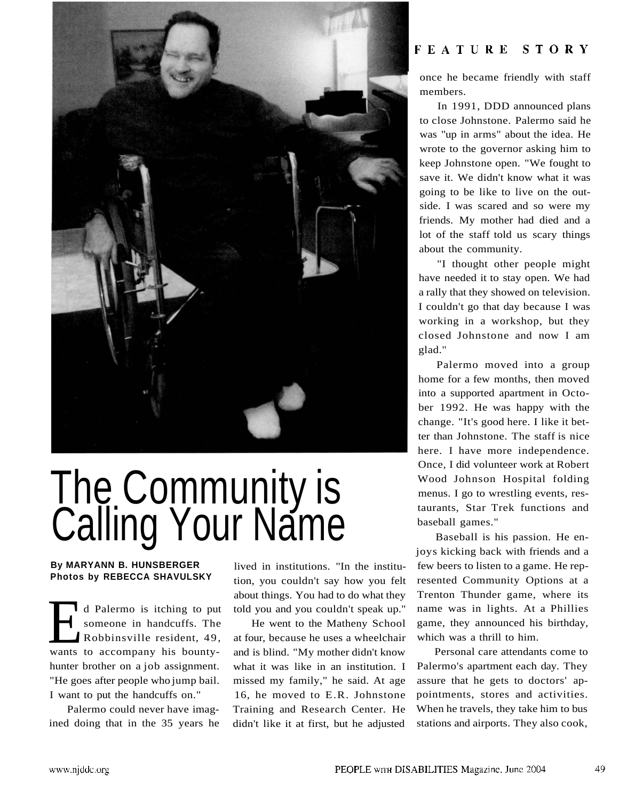

## **The Community is** Calling Your Name

**By MARYANN B. HUNSBERGER Photos by REBECCA SHAVULSKY** 

d Palermo is itching to put<br>someone in handcuffs. The<br>Robbinsville resident, 49,<br>wants to accompany his bountyd Palermo is itching to put someone in handcuffs. The Robbinsville resident, 49, hunter brother on a job assignment. "He goes after people who jump bail. I want to put the handcuffs on."

Palermo could never have imagined doing that in the 35 years he

lived in institutions. "In the institution, you couldn't say how you felt about things. You had to do what they told you and you couldn't speak up."

He went to the Matheny School at four, because he uses a wheelchair and is blind. "My mother didn't know what it was like in an institution. I missed my family," he said. At age 16, he moved to E.R. Johnstone Training and Research Center. He didn't like it at first, but he adjusted

## FEATURE STORY

once he became friendly with staff members.

In 1991, DDD announced plans to close Johnstone. Palermo said he was "up in arms" about the idea. He wrote to the governor asking him to keep Johnstone open. "We fought to save it. We didn't know what it was going to be like to live on the outside. I was scared and so were my friends. My mother had died and a lot of the staff told us scary things about the community.

"I thought other people might have needed it to stay open. We had a rally that they showed on television. I couldn't go that day because I was working in a workshop, but they closed Johnstone and now I am glad."

Palermo moved into a group home for a few months, then moved into a supported apartment in October 1992. He was happy with the change. "It's good here. I like it better than Johnstone. The staff is nice here. I have more independence. Once, I did volunteer work at Robert Wood Johnson Hospital folding menus. I go to wrestling events, restaurants, Star Trek functions and baseball games."

Baseball is his passion. He enjoys kicking back with friends and a few beers to listen to a game. He represented Community Options at a Trenton Thunder game, where its name was in lights. At a Phillies game, they announced his birthday, which was a thrill to him.

Personal care attendants come to Palermo's apartment each day. They assure that he gets to doctors' appointments, stores and activities. When he travels, they take him to bus stations and airports. They also cook,